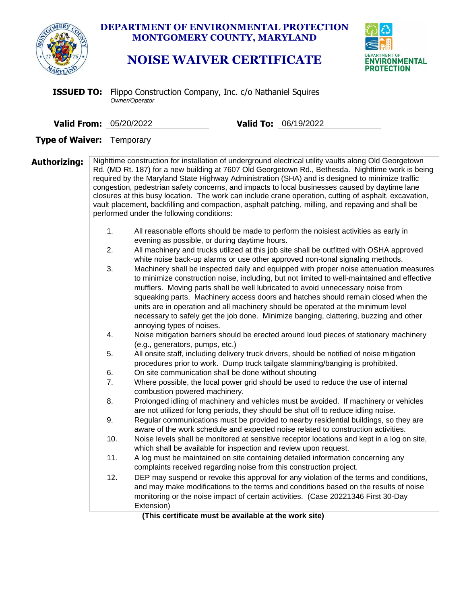